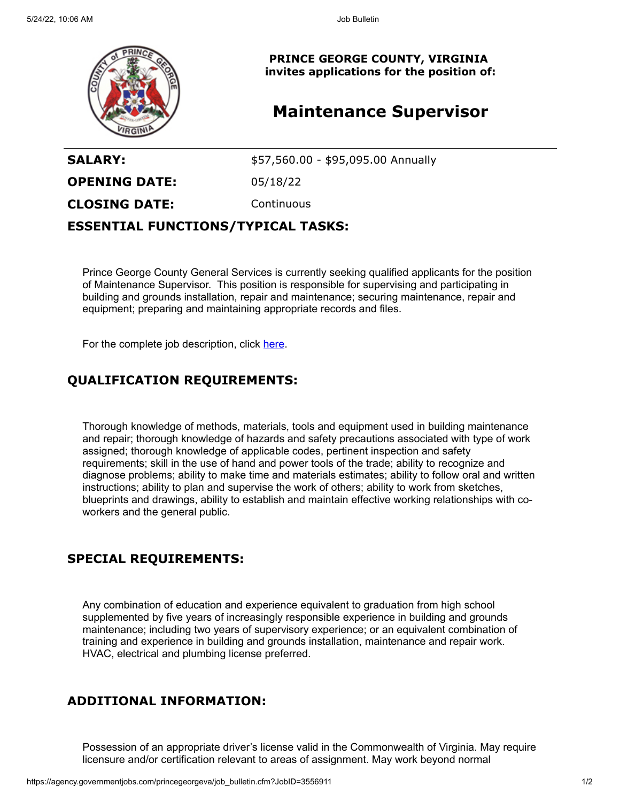

**PRINCE GEORGE COUNTY, VIRGINIA invites applications for the position of:**

# **Maintenance Supervisor**

**SALARY:**  $$57,560.00 - $95,095.00$  Annually

**OPENING DATE:** 05/18/22

**CLOSING DATE:** Continuous

#### **ESSENTIAL FUNCTIONS/TYPICAL TASKS:**

Prince George County General Services is currently seeking qualified applicants for the position of Maintenance Supervisor. This position is responsible for supervising and participating in building and grounds installation, repair and maintenance; securing maintenance, repair and equipment; preparing and maintaining appropriate records and files.

For the complete job description, click [here](https://cms1files.revize.com/princegeorgeva/MAINTENANCE%20SUPERVISOR.pdf).

# **QUALIFICATION REQUIREMENTS:**

Thorough knowledge of methods, materials, tools and equipment used in building maintenance and repair; thorough knowledge of hazards and safety precautions associated with type of work assigned; thorough knowledge of applicable codes, pertinent inspection and safety requirements; skill in the use of hand and power tools of the trade; ability to recognize and diagnose problems; ability to make time and materials estimates; ability to follow oral and written instructions; ability to plan and supervise the work of others; ability to work from sketches, blueprints and drawings, ability to establish and maintain effective working relationships with coworkers and the general public.

## **SPECIAL REQUIREMENTS:**

Any combination of education and experience equivalent to graduation from high school supplemented by five years of increasingly responsible experience in building and grounds maintenance; including two years of supervisory experience; or an equivalent combination of training and experience in building and grounds installation, maintenance and repair work. HVAC, electrical and plumbing license preferred.

## **ADDITIONAL INFORMATION:**

Possession of an appropriate driver's license valid in the Commonwealth of Virginia. May require licensure and/or certification relevant to areas of assignment. May work beyond normal